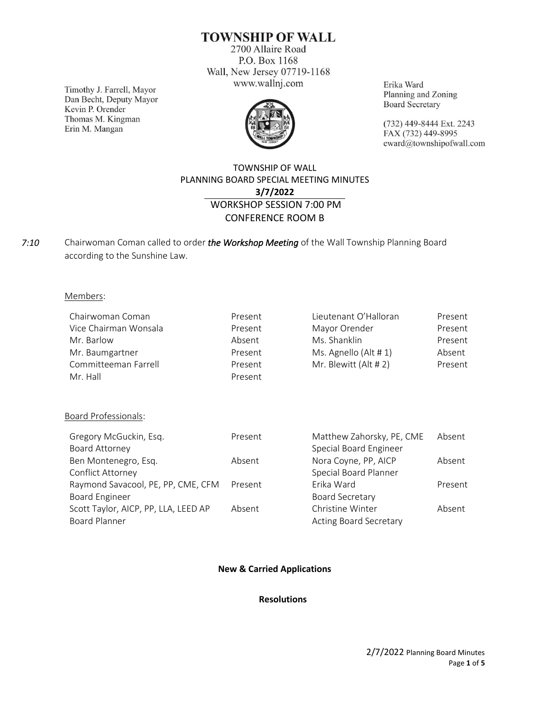## **TOWNSHIP OF WALL**

2700 Allaire Road P.O. Box 1168 Wall, New Jersey 07719-1168 www.wallnj.com

Timothy J. Farrell, Mayor Dan Becht, Deputy Mayor Kevin P. Orender Thomas M. Kingman Erin M. Mangan



Erika Ward Planning and Zoning **Board Secretary** 

(732) 449-8444 Ext. 2243 FAX (732) 449-8995 eward@townshipofwall.com

## TOWNSHIP OF WALL PLANNING BOARD SPECIAL MEETING MINUTES **3/7/2022** WORKSHOP SESSION 7:00 PM CONFERENCE ROOM B

Chairwoman Coman called to order *the Workshop Meeting* of the Wall Township Planning Board according to the Sunshine Law. *7:10*

### Members:

| Chairwoman Coman      | Present | Lieutenant O'Halloran | Present |
|-----------------------|---------|-----------------------|---------|
| Vice Chairman Wonsala | Present | Mayor Orender         | Present |
| Mr. Barlow            | Absent  | Ms. Shanklin          | Present |
| Mr. Baumgartner       | Present | Ms. Agnello (Alt # 1) | Absent  |
| Committeeman Farrell  | Present | Mr. Blewitt (Alt # 2) | Present |
| Mr. Hall              | Present |                       |         |

## Board Professionals:

| Absent  |
|---------|
|         |
| Absent  |
|         |
| Present |
|         |
| Absent  |
|         |
|         |

## **New & Carried Applications**

#### **Resolutions**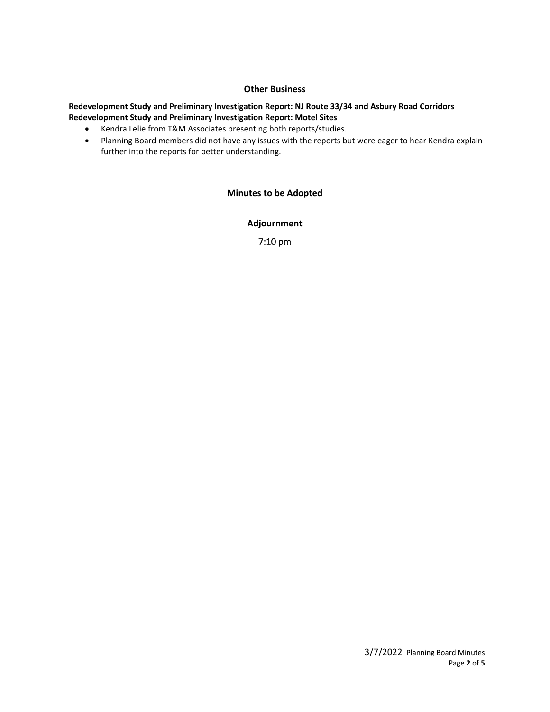## **Other Business**

#### **Redevelopment Study and Preliminary Investigation Report: NJ Route 33/34 and Asbury Road Corridors Redevelopment Study and Preliminary Investigation Report: Motel Sites**

- Kendra Lelie from T&M Associates presenting both reports/studies.
- Planning Board members did not have any issues with the reports but were eager to hear Kendra explain further into the reports for better understanding.

## **Minutes to be Adopted**

**Adjournment**

7:10 pm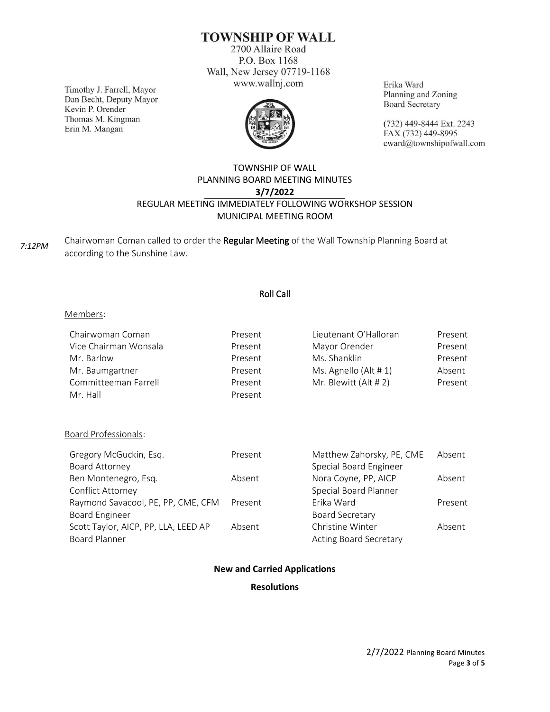**TOWNSHIP OF WALL** 

2700 Allaire Road P.O. Box 1168 Wall, New Jersey 07719-1168 www.wallnj.com

Timothy J. Farrell, Mayor Dan Becht, Deputy Mayor Kevin P. Orender Thomas M. Kingman Erin M. Mangan



Erika Ward Planning and Zoning **Board Secretary** 

(732) 449-8444 Ext. 2243 FAX (732) 449-8995 eward@townshipofwall.com

## TOWNSHIP OF WALL PLANNING BOARD MEETING MINUTES **3/7/2022** REGULAR MEETING IMMEDIATELY FOLLOWING WORKSHOP SESSION MUNICIPAL MEETING ROOM

*7:12PM*

Chairwoman Coman called to order the Regular Meeting of the Wall Township Planning Board at according to the Sunshine Law.

## Roll Call

## Members:

| Chairwoman Coman      | Present | Lieutenant O'Halloran | Present |
|-----------------------|---------|-----------------------|---------|
| Vice Chairman Wonsala | Present | Mayor Orender         | Present |
| Mr. Barlow            | Present | Ms. Shanklin          | Present |
| Mr. Baumgartner       | Present | Ms. Agnello (Alt # 1) | Absent  |
| Committeeman Farrell  | Present | Mr. Blewitt (Alt # 2) | Present |
| Mr. Hall              | Present |                       |         |

## Board Professionals:

| Gregory McGuckin, Esq.               | Present | Matthew Zahorsky, PE, CME     | Absent  |
|--------------------------------------|---------|-------------------------------|---------|
| Board Attorney                       |         | Special Board Engineer        |         |
| Ben Montenegro, Esq.                 | Absent  | Nora Coyne, PP, AICP          | Absent  |
| Conflict Attorney                    |         | Special Board Planner         |         |
| Raymond Savacool, PE, PP, CME, CFM   | Present | Erika Ward                    | Present |
| <b>Board Engineer</b>                |         | <b>Board Secretary</b>        |         |
| Scott Taylor, AICP, PP, LLA, LEED AP | Absent  | Christine Winter              | Absent  |
| <b>Board Planner</b>                 |         | <b>Acting Board Secretary</b> |         |

## **New and Carried Applications**

## **Resolutions**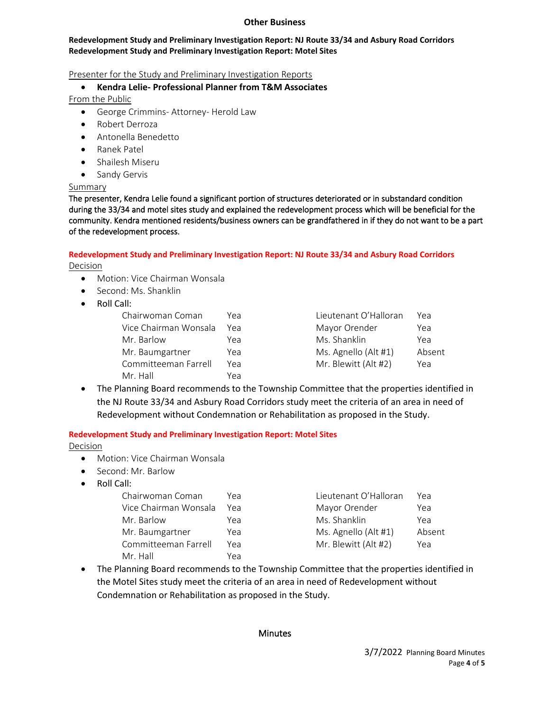#### **Other Business**

#### **Redevelopment Study and Preliminary Investigation Report: NJ Route 33/34 and Asbury Road Corridors Redevelopment Study and Preliminary Investigation Report: Motel Sites**

## Presenter for the Study and Preliminary Investigation Reports

## • **Kendra Lelie- Professional Planner from T&M Associates**

From the Public

- George Crimmins- Attorney- Herold Law
- Robert Derroza
- Antonella Benedetto
- Ranek Patel
- Shailesh Miseru
- Sandy Gervis

## Summary

The presenter, Kendra Lelie found a significant portion of structures deteriorated or in substandard condition during the 33/34 and motel sites study and explained the redevelopment process which will be beneficial for the community. Kendra mentioned residents/business owners can be grandfathered in if they do not want to be a part of the redevelopment process.

#### **Redevelopment Study and Preliminary Investigation Report: NJ Route 33/34 and Asbury Road Corridors**  Decision

- Motion: Vice Chairman Wonsala
- Second: Ms. Shanklin
- Roll Call:

| Chairwoman Coman      | Үеа | Lieutenant O'Halloran | Yea |
|-----------------------|-----|-----------------------|-----|
| Vice Chairman Wonsala | Yea | Mayor Orender         | Yea |
| Mr. Barlow            | Yea | Ms. Shanklin          | Yea |
| Mr. Baumgartner       | Yea | Ms. Agnello (Alt #1)  | Abs |
| Committeeman Farrell  | Yea | Mr. Blewitt (Alt #2)  | Yea |
| Mr. Hall              | Yea |                       |     |

| Үеа | Lieutenant O'Halloran | Үеа    |
|-----|-----------------------|--------|
| Yea | Mayor Orender         | Yea    |
| Yea | Ms. Shanklin          | Yea    |
| Yea | Ms. Agnello (Alt #1)  | Absent |
| Үеа | Mr. Blewitt (Alt #2)  | Yea    |
|     |                       |        |

• The Planning Board recommends to the Township Committee that the properties identified in the NJ Route 33/34 and Asbury Road Corridors study meet the criteria of an area in need of Redevelopment without Condemnation or Rehabilitation as proposed in the Study.

# **Redevelopment Study and Preliminary Investigation Report: Motel Sites**

Decision

- Motion: Vice Chairman Wonsala
- Second: Mr. Barlow
- Roll Call:

| Chairwoman Coman      | Үеа | Lieutenant O'Halloran | Үеа    |
|-----------------------|-----|-----------------------|--------|
| Vice Chairman Wonsala | Yea | Mayor Orender         | Yea    |
| Mr. Barlow            | Yea | Ms. Shanklin          | Yea    |
| Mr. Baumgartner       | Yea | Ms. Agnello (Alt #1)  | Absent |
| Committeeman Farrell  | Yea | Mr. Blewitt (Alt #2)  | Yea    |
| Mr. Hall              | Yea |                       |        |

• The Planning Board recommends to the Township Committee that the properties identified in the Motel Sites study meet the criteria of an area in need of Redevelopment without Condemnation or Rehabilitation as proposed in the Study.

## **Minutes**